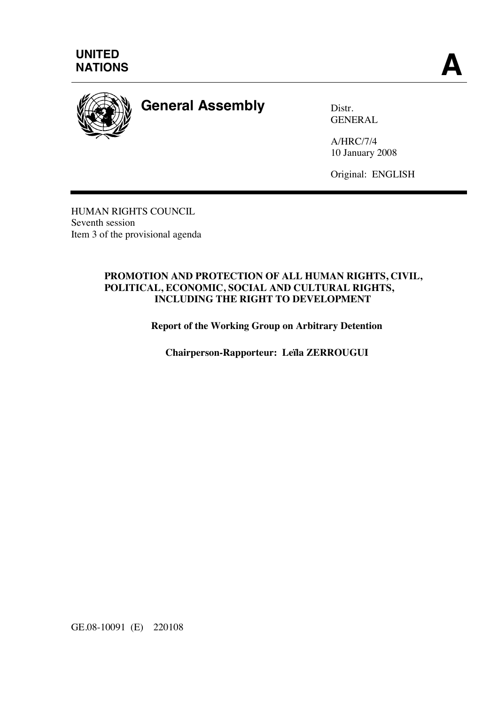



## **General Assembly** Distr.

GENERAL

A/HRC/7/4 10 January 2008

Original: ENGLISH

HUMAN RIGHTS COUNCIL Seventh session Item 3 of the provisional agenda

#### **PROMOTION AND PROTECTION OF ALL HUMAN RIGHTS, CIVIL, POLITICAL, ECONOMIC, SOCIAL AND CULTURAL RIGHTS, INCLUDING THE RIGHT TO DEVELOPMENT**

**Report of the Working Group on Arbitrary Detention** 

**Chairperson-Rapporteur: Leïla ZERROUGUI** 

GE.08-10091 (E) 220108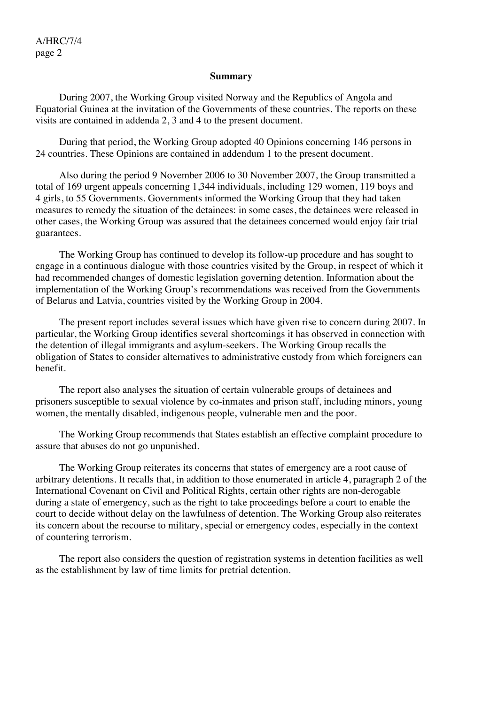#### **Summary**

 During 2007, the Working Group visited Norway and the Republics of Angola and Equatorial Guinea at the invitation of the Governments of these countries. The reports on these visits are contained in addenda 2, 3 and 4 to the present document.

 During that period, the Working Group adopted 40 Opinions concerning 146 persons in 24 countries. These Opinions are contained in addendum 1 to the present document.

 Also during the period 9 November 2006 to 30 November 2007, the Group transmitted a total of 169 urgent appeals concerning 1,344 individuals, including 129 women, 119 boys and 4 girls, to 55 Governments. Governments informed the Working Group that they had taken measures to remedy the situation of the detainees: in some cases, the detainees were released in other cases, the Working Group was assured that the detainees concerned would enjoy fair trial guarantees.

 The Working Group has continued to develop its follow-up procedure and has sought to engage in a continuous dialogue with those countries visited by the Group, in respect of which it had recommended changes of domestic legislation governing detention. Information about the implementation of the Working Group's recommendations was received from the Governments of Belarus and Latvia, countries visited by the Working Group in 2004.

 The present report includes several issues which have given rise to concern during 2007. In particular, the Working Group identifies several shortcomings it has observed in connection with the detention of illegal immigrants and asylum-seekers. The Working Group recalls the obligation of States to consider alternatives to administrative custody from which foreigners can benefit.

 The report also analyses the situation of certain vulnerable groups of detainees and prisoners susceptible to sexual violence by co-inmates and prison staff, including minors, young women, the mentally disabled, indigenous people, vulnerable men and the poor.

 The Working Group recommends that States establish an effective complaint procedure to assure that abuses do not go unpunished.

 The Working Group reiterates its concerns that states of emergency are a root cause of arbitrary detentions. It recalls that, in addition to those enumerated in article 4, paragraph 2 of the International Covenant on Civil and Political Rights, certain other rights are non-derogable during a state of emergency, such as the right to take proceedings before a court to enable the court to decide without delay on the lawfulness of detention. The Working Group also reiterates its concern about the recourse to military, special or emergency codes, especially in the context of countering terrorism.

 The report also considers the question of registration systems in detention facilities as well as the establishment by law of time limits for pretrial detention.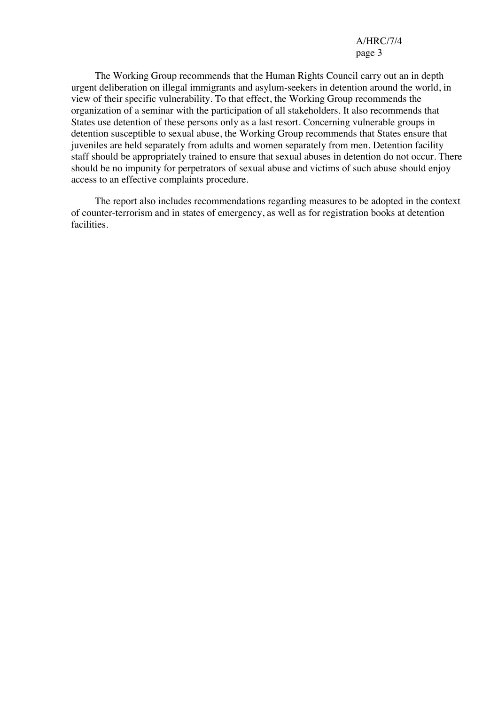The Working Group recommends that the Human Rights Council carry out an in depth urgent deliberation on illegal immigrants and asylum-seekers in detention around the world, in view of their specific vulnerability. To that effect, the Working Group recommends the organization of a seminar with the participation of all stakeholders. It also recommends that States use detention of these persons only as a last resort. Concerning vulnerable groups in detention susceptible to sexual abuse, the Working Group recommends that States ensure that juveniles are held separately from adults and women separately from men. Detention facility staff should be appropriately trained to ensure that sexual abuses in detention do not occur. There should be no impunity for perpetrators of sexual abuse and victims of such abuse should enjoy access to an effective complaints procedure.

 The report also includes recommendations regarding measures to be adopted in the context of counter-terrorism and in states of emergency, as well as for registration books at detention facilities.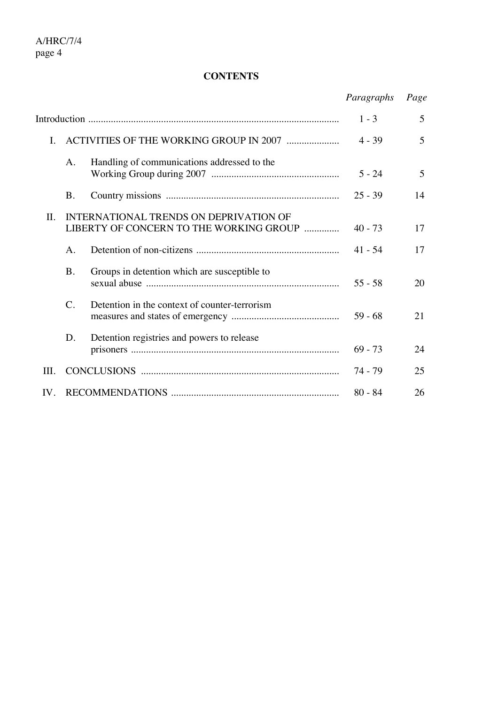## **CONTENTS**

|                |                 |                                                                                   | Paragraphs | Page |
|----------------|-----------------|-----------------------------------------------------------------------------------|------------|------|
|                |                 |                                                                                   | $1 - 3$    | 5    |
| $\mathbf{I}$ . |                 |                                                                                   | $4 - 39$   | 5    |
|                | A.              | Handling of communications addressed to the                                       | $5 - 24$   | 5    |
|                | Β.              |                                                                                   | $25 - 39$  | 14   |
| II.            |                 | INTERNATIONAL TRENDS ON DEPRIVATION OF<br>LIBERTY OF CONCERN TO THE WORKING GROUP | $40 - 73$  | 17   |
|                | A.              |                                                                                   | $41 - 54$  | 17   |
|                | <b>B.</b>       | Groups in detention which are susceptible to                                      | $55 - 58$  | 20   |
|                | $\mathcal{C}$ . | Detention in the context of counter-terrorism                                     | $59 - 68$  | 21   |
|                | D.              | Detention registries and powers to release                                        | $69 - 73$  | 24   |
| III.           |                 |                                                                                   | 74 - 79    | 25   |
| IV.            |                 |                                                                                   | $80 - 84$  | 26   |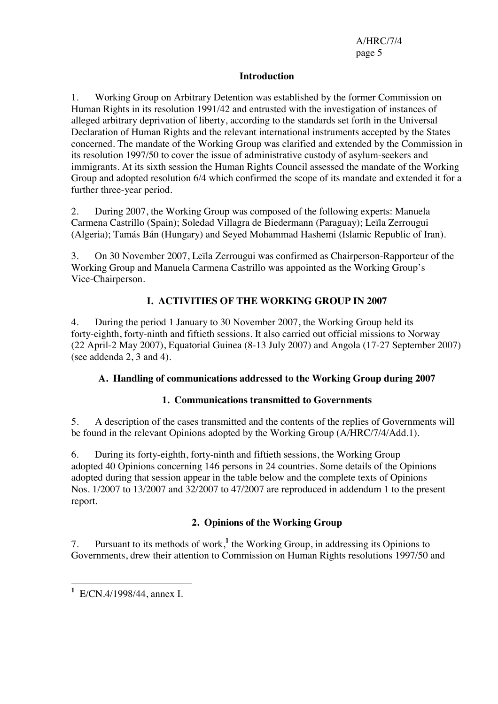#### **Introduction**

1. Working Group on Arbitrary Detention was established by the former Commission on Human Rights in its resolution 1991/42 and entrusted with the investigation of instances of alleged arbitrary deprivation of liberty, according to the standards set forth in the Universal Declaration of Human Rights and the relevant international instruments accepted by the States concerned. The mandate of the Working Group was clarified and extended by the Commission in its resolution 1997/50 to cover the issue of administrative custody of asylum-seekers and immigrants. At its sixth session the Human Rights Council assessed the mandate of the Working Group and adopted resolution 6/4 which confirmed the scope of its mandate and extended it for a further three-year period.

2. During 2007, the Working Group was composed of the following experts: Manuela Carmena Castrillo (Spain); Soledad Villagra de Biedermann (Paraguay); Leïla Zerrougui (Algeria); Tamás Bán (Hungary) and Seyed Mohammad Hashemi (Islamic Republic of Iran).

3. On 30 November 2007, Leïla Zerrougui was confirmed as Chairperson-Rapporteur of the Working Group and Manuela Carmena Castrillo was appointed as the Working Group's Vice-Chairperson.

## **I. ACTIVITIES OF THE WORKING GROUP IN 2007**

4. During the period 1 January to 30 November 2007, the Working Group held its forty-eighth, forty-ninth and fiftieth sessions. It also carried out official missions to Norway (22 April-2 May 2007), Equatorial Guinea (8-13 July 2007) and Angola (17-27 September 2007) (see addenda 2, 3 and 4).

#### **A. Handling of communications addressed to the Working Group during 2007**

#### **1. Communications transmitted to Governments**

5. A description of the cases transmitted and the contents of the replies of Governments will be found in the relevant Opinions adopted by the Working Group (A/HRC/7/4/Add.1).

6. During its forty-eighth, forty-ninth and fiftieth sessions, the Working Group adopted 40 Opinions concerning 146 persons in 24 countries. Some details of the Opinions adopted during that session appear in the table below and the complete texts of Opinions Nos. 1/2007 to 13/2007 and 32/2007 to 47/2007 are reproduced in addendum 1 to the present report.

## **2. Opinions of the Working Group**

7. Pursuant to its methods of work,<sup>1</sup> the Working Group, in addressing its Opinions to Governments, drew their attention to Commission on Human Rights resolutions 1997/50 and

 **1** E/CN.4/1998/44, annex I.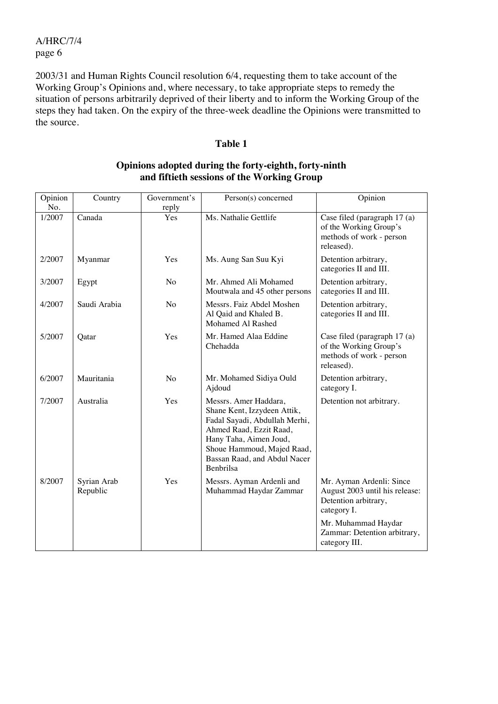2003/31 and Human Rights Council resolution 6/4, requesting them to take account of the Working Group's Opinions and, where necessary, to take appropriate steps to remedy the situation of persons arbitrarily deprived of their liberty and to inform the Working Group of the steps they had taken. On the expiry of the three-week deadline the Opinions were transmitted to the source.

#### **Table 1**

| Opinion<br>No. | Country                 | Government's<br>reply | Person(s) concerned                                                                                                                                                                                                          | Opinion                                                                                           |
|----------------|-------------------------|-----------------------|------------------------------------------------------------------------------------------------------------------------------------------------------------------------------------------------------------------------------|---------------------------------------------------------------------------------------------------|
| 1/2007         | Canada                  | Yes                   | Ms. Nathalie Gettlife                                                                                                                                                                                                        | Case filed (paragraph 17 (a)<br>of the Working Group's<br>methods of work - person<br>released).  |
| 2/2007         | Myanmar                 | Yes                   | Ms. Aung San Suu Kyi                                                                                                                                                                                                         | Detention arbitrary,<br>categories II and III.                                                    |
| 3/2007         | Egypt                   | No                    | Mr. Ahmed Ali Mohamed<br>Moutwala and 45 other persons                                                                                                                                                                       | Detention arbitrary,<br>categories II and III.                                                    |
| 4/2007         | Saudi Arabia            | N <sub>o</sub>        | Messrs. Faiz Abdel Moshen<br>Al Qaid and Khaled B.<br>Mohamed Al Rashed                                                                                                                                                      | Detention arbitrary,<br>categories II and III.                                                    |
| 5/2007         | Qatar                   | Yes                   | Mr. Hamed Alaa Eddine<br>Chehadda                                                                                                                                                                                            | Case filed (paragraph 17 (a)<br>of the Working Group's<br>methods of work - person<br>released).  |
| 6/2007         | Mauritania              | No                    | Mr. Mohamed Sidiya Ould<br>Ajdoud                                                                                                                                                                                            | Detention arbitrary,<br>category I.                                                               |
| 7/2007         | Australia               | Yes                   | Messrs. Amer Haddara,<br>Shane Kent, Izzydeen Attik,<br>Fadal Sayadi, Abdullah Merhi,<br>Ahmed Raad, Ezzit Raad,<br>Hany Taha, Aimen Joud,<br>Shoue Hammoud, Majed Raad,<br>Bassan Raad, and Abdul Nacer<br><b>Benbrilsa</b> | Detention not arbitrary.                                                                          |
| 8/2007         | Syrian Arab<br>Republic | Yes                   | Messrs. Ayman Ardenli and<br>Muhammad Haydar Zammar                                                                                                                                                                          | Mr. Ayman Ardenli: Since<br>August 2003 until his release:<br>Detention arbitrary,<br>category I. |
|                |                         |                       |                                                                                                                                                                                                                              | Mr. Muhammad Haydar<br>Zammar: Detention arbitrary,<br>category III.                              |

#### **Opinions adopted during the forty-eighth, forty-ninth and fiftieth sessions of the Working Group**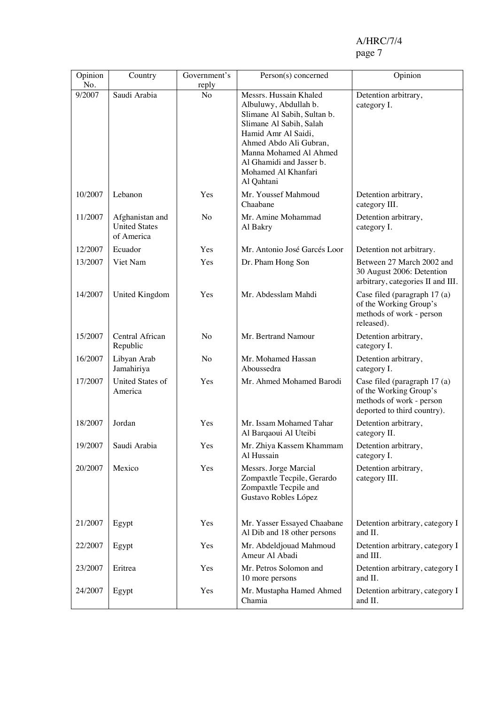# A/HRC/7/4<br>page 7

#### page 7

| Opinion       | Country                                               | Government's   | Person(s) concerned                                                                                                                                                                                                         | Opinion                                                                                                           |
|---------------|-------------------------------------------------------|----------------|-----------------------------------------------------------------------------------------------------------------------------------------------------------------------------------------------------------------------------|-------------------------------------------------------------------------------------------------------------------|
| No.<br>9/2007 | Saudi Arabia                                          | reply<br>No    | Messrs. Hussain Khaled                                                                                                                                                                                                      | Detention arbitrary,                                                                                              |
|               |                                                       |                | Albuluwy, Abdullah b.<br>Slimane Al Sabih, Sultan b.<br>Slimane Al Sabih, Salah<br>Hamid Amr Al Saidi,<br>Ahmed Abdo Ali Gubran,<br>Manna Mohamed Al Ahmed<br>Al Ghamidi and Jasser b.<br>Mohamed Al Khanfari<br>Al Qahtani | category I.                                                                                                       |
| 10/2007       | Lebanon                                               | Yes            | Mr. Youssef Mahmoud<br>Chaabane                                                                                                                                                                                             | Detention arbitrary,<br>category III.                                                                             |
| 11/2007       | Afghanistan and<br><b>United States</b><br>of America | No             | Mr. Amine Mohammad<br>Al Bakry                                                                                                                                                                                              | Detention arbitrary,<br>category I.                                                                               |
| 12/2007       | Ecuador                                               | Yes            | Mr. Antonio José Garcés Loor                                                                                                                                                                                                | Detention not arbitrary.                                                                                          |
| 13/2007       | Viet Nam                                              | Yes            | Dr. Pham Hong Son                                                                                                                                                                                                           | Between 27 March 2002 and<br>30 August 2006: Detention<br>arbitrary, categories II and III.                       |
| 14/2007       | United Kingdom                                        | Yes            | Mr. Abdesslam Mahdi                                                                                                                                                                                                         | Case filed (paragraph 17 (a)<br>of the Working Group's<br>methods of work - person<br>released).                  |
| 15/2007       | Central African<br>Republic                           | N <sub>0</sub> | Mr. Bertrand Namour                                                                                                                                                                                                         | Detention arbitrary,<br>category I.                                                                               |
| 16/2007       | Libyan Arab<br>Jamahiriya                             | N <sub>o</sub> | Mr. Mohamed Hassan<br>Aboussedra                                                                                                                                                                                            | Detention arbitrary,<br>category I.                                                                               |
| 17/2007       | United States of<br>America                           | Yes            | Mr. Ahmed Mohamed Barodi                                                                                                                                                                                                    | Case filed (paragraph 17 (a)<br>of the Working Group's<br>methods of work - person<br>deported to third country). |
| 18/2007       | Jordan                                                | Yes            | Mr. Issam Mohamed Tahar<br>Al Barqaoui Al Uteibi                                                                                                                                                                            | Detention arbitrary,<br>category II.                                                                              |
| 19/2007       | Saudi Arabia                                          | Yes            | Mr. Zhiya Kassem Khammam<br>Al Hussain                                                                                                                                                                                      | Detention arbitrary,<br>category I.                                                                               |
| 20/2007       | Mexico                                                | Yes            | Messrs. Jorge Marcial<br>Zompaxtle Tecpile, Gerardo<br>Zompaxtle Tecpile and<br>Gustavo Robles López                                                                                                                        | Detention arbitrary,<br>category III.                                                                             |
| 21/2007       | Egypt                                                 | Yes            | Mr. Yasser Essayed Chaabane<br>Al Dib and 18 other persons                                                                                                                                                                  | Detention arbitrary, category I<br>and II.                                                                        |
| 22/2007       | Egypt                                                 | Yes            | Mr. Abdeldjouad Mahmoud<br>Ameur Al Abadi                                                                                                                                                                                   | Detention arbitrary, category I<br>and III.                                                                       |
| 23/2007       | Eritrea                                               | Yes            | Mr. Petros Solomon and<br>10 more persons                                                                                                                                                                                   | Detention arbitrary, category I<br>and II.                                                                        |
| 24/2007       | Egypt                                                 | Yes            | Mr. Mustapha Hamed Ahmed<br>Chamia                                                                                                                                                                                          | Detention arbitrary, category I<br>and II.                                                                        |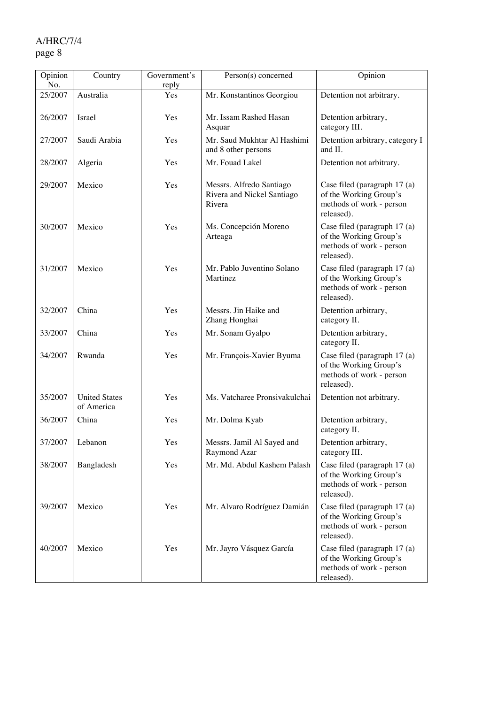## A/HRC/7/4

## page 8

| Opinion<br>No. | Country                            | Government's<br>reply | Person(s) concerned                                              | Opinion                                                                                          |
|----------------|------------------------------------|-----------------------|------------------------------------------------------------------|--------------------------------------------------------------------------------------------------|
| 25/2007        | Australia                          | Yes                   | Mr. Konstantinos Georgiou                                        | Detention not arbitrary.                                                                         |
| 26/2007        | Israel                             | Yes                   | Mr. Issam Rashed Hasan<br>Asquar                                 | Detention arbitrary,<br>category III.                                                            |
| 27/2007        | Saudi Arabia                       | Yes                   | Mr. Saud Mukhtar Al Hashimi<br>and 8 other persons               | Detention arbitrary, category I<br>and II.                                                       |
| 28/2007        | Algeria                            | Yes                   | Mr. Fouad Lakel                                                  | Detention not arbitrary.                                                                         |
| 29/2007        | Mexico                             | Yes                   | Messrs. Alfredo Santiago<br>Rivera and Nickel Santiago<br>Rivera | Case filed (paragraph 17 (a)<br>of the Working Group's<br>methods of work - person<br>released). |
| 30/2007        | Mexico                             | Yes                   | Ms. Concepción Moreno<br>Arteaga                                 | Case filed (paragraph 17 (a)<br>of the Working Group's<br>methods of work - person<br>released). |
| 31/2007        | Mexico                             | Yes                   | Mr. Pablo Juventino Solano<br>Martinez                           | Case filed (paragraph 17 (a)<br>of the Working Group's<br>methods of work - person<br>released). |
| 32/2007        | China                              | Yes                   | Messrs. Jin Haike and<br>Zhang Honghai                           | Detention arbitrary,<br>category II.                                                             |
| 33/2007        | China                              | Yes                   | Mr. Sonam Gyalpo                                                 | Detention arbitrary,<br>category II.                                                             |
| 34/2007        | Rwanda                             | Yes                   | Mr. François-Xavier Byuma                                        | Case filed (paragraph 17 (a)<br>of the Working Group's<br>methods of work - person<br>released). |
| 35/2007        | <b>United States</b><br>of America | Yes                   | Ms. Vatcharee Pronsivakulchai                                    | Detention not arbitrary.                                                                         |
| 36/2007        | China                              | Yes                   | Mr. Dolma Kyab                                                   | Detention arbitrary,<br>category II.                                                             |
| 37/2007        | Lebanon                            | Yes                   | Messrs. Jamil Al Sayed and<br>Raymond Azar                       | Detention arbitrary,<br>category III.                                                            |
| 38/2007        | Bangladesh                         | Yes                   | Mr. Md. Abdul Kashem Palash                                      | Case filed (paragraph 17 (a)<br>of the Working Group's<br>methods of work - person<br>released). |
| 39/2007        | Mexico                             | Yes                   | Mr. Alvaro Rodríguez Damián                                      | Case filed (paragraph 17 (a)<br>of the Working Group's<br>methods of work - person<br>released). |
| 40/2007        | Mexico                             | Yes                   | Mr. Jayro Vásquez García                                         | Case filed (paragraph 17 (a)<br>of the Working Group's<br>methods of work - person<br>released). |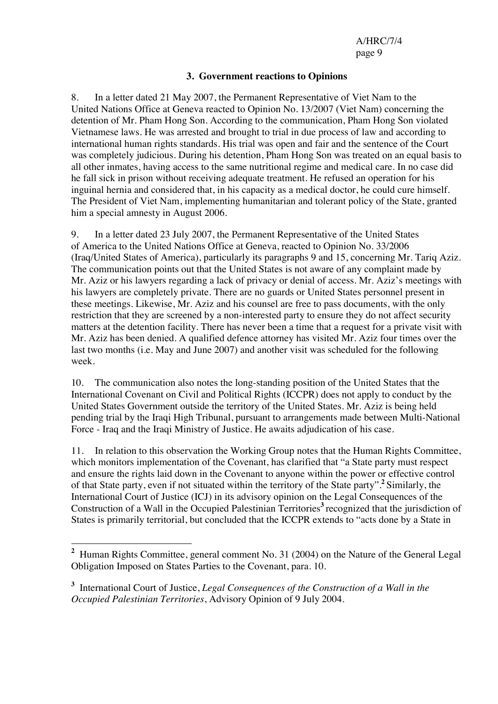#### **3. Government reactions to Opinions**

8. In a letter dated 21 May 2007, the Permanent Representative of Viet Nam to the United Nations Office at Geneva reacted to Opinion No. 13/2007 (Viet Nam) concerning the detention of Mr. Pham Hong Son. According to the communication, Pham Hong Son violated Vietnamese laws. He was arrested and brought to trial in due process of law and according to international human rights standards. His trial was open and fair and the sentence of the Court was completely judicious. During his detention, Pham Hong Son was treated on an equal basis to all other inmates, having access to the same nutritional regime and medical care. In no case did he fall sick in prison without receiving adequate treatment. He refused an operation for his inguinal hernia and considered that, in his capacity as a medical doctor, he could cure himself. The President of Viet Nam, implementing humanitarian and tolerant policy of the State, granted him a special amnesty in August 2006.

9. In a letter dated 23 July 2007, the Permanent Representative of the United States of America to the United Nations Office at Geneva, reacted to Opinion No. 33/2006 (Iraq/United States of America), particularly its paragraphs 9 and 15, concerning Mr. Tariq Aziz. The communication points out that the United States is not aware of any complaint made by Mr. Aziz or his lawyers regarding a lack of privacy or denial of access. Mr. Aziz's meetings with his lawyers are completely private. There are no guards or United States personnel present in these meetings. Likewise, Mr. Aziz and his counsel are free to pass documents, with the only restriction that they are screened by a non-interested party to ensure they do not affect security matters at the detention facility. There has never been a time that a request for a private visit with Mr. Aziz has been denied. A qualified defence attorney has visited Mr. Aziz four times over the last two months (i.e. May and June 2007) and another visit was scheduled for the following week.

10. The communication also notes the long-standing position of the United States that the International Covenant on Civil and Political Rights (ICCPR) does not apply to conduct by the United States Government outside the territory of the United States. Mr. Aziz is being held pending trial by the Iraqi High Tribunal, pursuant to arrangements made between Multi-National Force - Iraq and the Iraqi Ministry of Justice. He awaits adjudication of his case.

11. In relation to this observation the Working Group notes that the Human Rights Committee, which monitors implementation of the Covenant, has clarified that "a State party must respect and ensure the rights laid down in the Covenant to anyone within the power or effective control of that State party, even if not situated within the territory of the State party".**<sup>2</sup>** Similarly, the International Court of Justice (ICJ) in its advisory opinion on the Legal Consequences of the Construction of a Wall in the Occupied Palestinian Territories**<sup>3</sup>** recognized that the jurisdiction of States is primarily territorial, but concluded that the ICCPR extends to "acts done by a State in

<sup>&</sup>lt;sup>2</sup> Human Rights Committee, general comment No. 31 (2004) on the Nature of the General Legal Obligation Imposed on States Parties to the Covenant, para. 10.

**<sup>3</sup>** International Court of Justice, *Legal Consequences of the Construction of a Wall in the Occupied Palestinian Territories*, Advisory Opinion of 9 July 2004.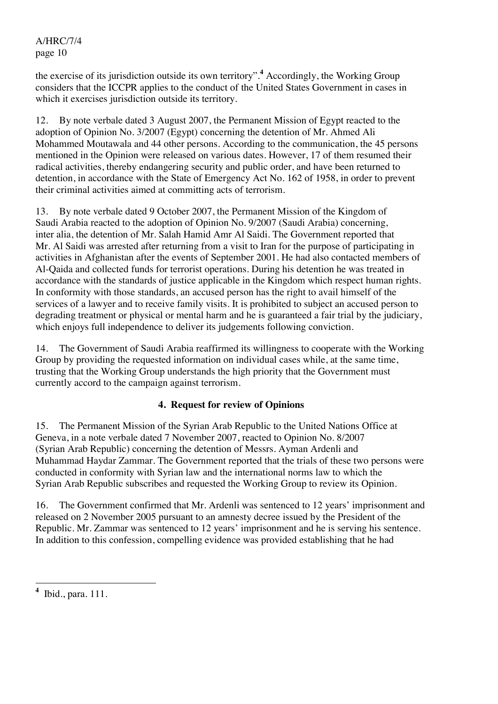the exercise of its jurisdiction outside its own territory".**<sup>4</sup>** Accordingly, the Working Group considers that the ICCPR applies to the conduct of the United States Government in cases in which it exercises jurisdiction outside its territory.

12. By note verbale dated 3 August 2007, the Permanent Mission of Egypt reacted to the adoption of Opinion No. 3/2007 (Egypt) concerning the detention of Mr. Ahmed Ali Mohammed Moutawala and 44 other persons. According to the communication, the 45 persons mentioned in the Opinion were released on various dates. However, 17 of them resumed their radical activities, thereby endangering security and public order, and have been returned to detention, in accordance with the State of Emergency Act No. 162 of 1958, in order to prevent their criminal activities aimed at committing acts of terrorism.

13. By note verbale dated 9 October 2007, the Permanent Mission of the Kingdom of Saudi Arabia reacted to the adoption of Opinion No. 9/2007 (Saudi Arabia) concerning, inter alia, the detention of Mr. Salah Hamid Amr Al Saidi. The Government reported that Mr. Al Saidi was arrested after returning from a visit to Iran for the purpose of participating in activities in Afghanistan after the events of September 2001. He had also contacted members of Al-Qaida and collected funds for terrorist operations. During his detention he was treated in accordance with the standards of justice applicable in the Kingdom which respect human rights. In conformity with those standards, an accused person has the right to avail himself of the services of a lawyer and to receive family visits. It is prohibited to subject an accused person to degrading treatment or physical or mental harm and he is guaranteed a fair trial by the judiciary, which enjoys full independence to deliver its judgements following conviction.

14. The Government of Saudi Arabia reaffirmed its willingness to cooperate with the Working Group by providing the requested information on individual cases while, at the same time, trusting that the Working Group understands the high priority that the Government must currently accord to the campaign against terrorism.

#### **4. Request for review of Opinions**

15. The Permanent Mission of the Syrian Arab Republic to the United Nations Office at Geneva, in a note verbale dated 7 November 2007, reacted to Opinion No. 8/2007 (Syrian Arab Republic) concerning the detention of Messrs. Ayman Ardenli and Muhammad Haydar Zammar. The Government reported that the trials of these two persons were conducted in conformity with Syrian law and the international norms law to which the Syrian Arab Republic subscribes and requested the Working Group to review its Opinion.

16. The Government confirmed that Mr. Ardenli was sentenced to 12 years' imprisonment and released on 2 November 2005 pursuant to an amnesty decree issued by the President of the Republic. Mr. Zammar was sentenced to 12 years' imprisonment and he is serving his sentence. In addition to this confession, compelling evidence was provided establishing that he had

 **4** Ibid., para. 111.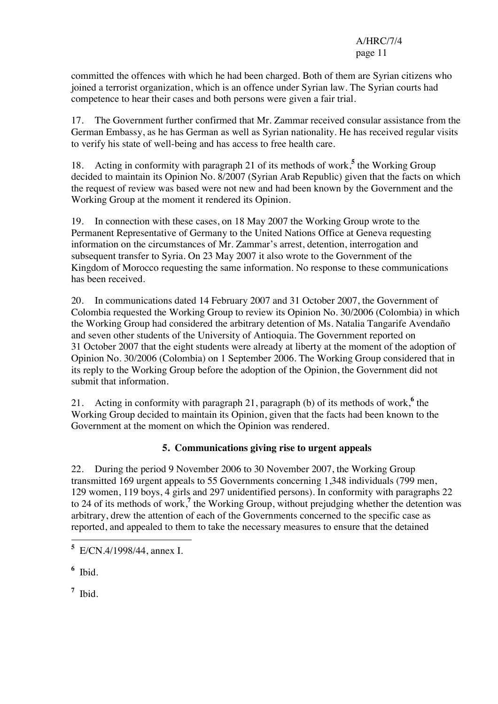committed the offences with which he had been charged. Both of them are Syrian citizens who joined a terrorist organization, which is an offence under Syrian law. The Syrian courts had competence to hear their cases and both persons were given a fair trial.

17. The Government further confirmed that Mr. Zammar received consular assistance from the German Embassy, as he has German as well as Syrian nationality. He has received regular visits to verify his state of well-being and has access to free health care.

18. Acting in conformity with paragraph 21 of its methods of work,<sup>5</sup> the Working Group decided to maintain its Opinion No. 8/2007 (Syrian Arab Republic) given that the facts on which the request of review was based were not new and had been known by the Government and the Working Group at the moment it rendered its Opinion.

19. In connection with these cases, on 18 May 2007 the Working Group wrote to the Permanent Representative of Germany to the United Nations Office at Geneva requesting information on the circumstances of Mr. Zammar's arrest, detention, interrogation and subsequent transfer to Syria. On 23 May 2007 it also wrote to the Government of the Kingdom of Morocco requesting the same information. No response to these communications has been received.

20. In communications dated 14 February 2007 and 31 October 2007, the Government of Colombia requested the Working Group to review its Opinion No. 30/2006 (Colombia) in which the Working Group had considered the arbitrary detention of Ms. Natalia Tangarife Avendaño and seven other students of the University of Antioquia. The Government reported on 31 October 2007 that the eight students were already at liberty at the moment of the adoption of Opinion No. 30/2006 (Colombia) on 1 September 2006. The Working Group considered that in its reply to the Working Group before the adoption of the Opinion, the Government did not submit that information.

21. Acting in conformity with paragraph 21, paragraph (b) of its methods of work,<sup>6</sup> the Working Group decided to maintain its Opinion, given that the facts had been known to the Government at the moment on which the Opinion was rendered.

## **5. Communications giving rise to urgent appeals**

22. During the period 9 November 2006 to 30 November 2007, the Working Group transmitted 169 urgent appeals to 55 Governments concerning 1,348 individuals (799 men, 129 women, 119 boys, 4 girls and 297 unidentified persons). In conformity with paragraphs 22 to 24 of its methods of work,**<sup>7</sup>** the Working Group, without prejudging whether the detention was arbitrary, drew the attention of each of the Governments concerned to the specific case as reported, and appealed to them to take the necessary measures to ensure that the detained

**6** Ibid.

**7** Ibid.

 **5** E/CN.4/1998/44, annex I.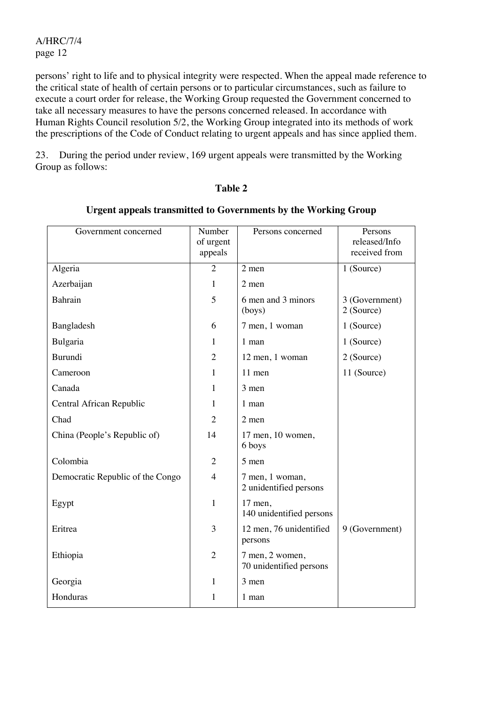persons' right to life and to physical integrity were respected. When the appeal made reference to the critical state of health of certain persons or to particular circumstances, such as failure to execute a court order for release, the Working Group requested the Government concerned to take all necessary measures to have the persons concerned released. In accordance with Human Rights Council resolution 5/2, the Working Group integrated into its methods of work the prescriptions of the Code of Conduct relating to urgent appeals and has since applied them.

23. During the period under review, 169 urgent appeals were transmitted by the Working Group as follows:

#### **Table 2**

| Government concerned             | Number<br>of urgent<br>appeals | Persons concerned                          | Persons<br>released/Info<br>received from |
|----------------------------------|--------------------------------|--------------------------------------------|-------------------------------------------|
| Algeria                          | $\overline{2}$                 | 2 men                                      | 1 (Source)                                |
| Azerbaijan                       | $\mathbf{1}$                   | 2 men                                      |                                           |
| Bahrain                          | 5                              | 6 men and 3 minors<br>$($ boys $)$         | 3 (Government)<br>2 (Source)              |
| Bangladesh                       | 6                              | 7 men, 1 woman                             | 1 (Source)                                |
| Bulgaria                         | $\mathbf{1}$                   | 1 man                                      | 1 (Source)                                |
| Burundi                          | $\overline{2}$                 | 12 men, 1 woman                            | 2 (Source)                                |
| Cameroon                         | $\mathbf{1}$                   | 11 men                                     | 11 (Source)                               |
| Canada                           | $\mathbf{1}$                   | 3 men                                      |                                           |
| Central African Republic         | 1                              | 1 man                                      |                                           |
| Chad                             | $\overline{2}$                 | 2 men                                      |                                           |
| China (People's Republic of)     | 14                             | 17 men, 10 women,<br>6 boys                |                                           |
| Colombia                         | $\overline{2}$                 | 5 men                                      |                                           |
| Democratic Republic of the Congo | $\overline{4}$                 | 7 men, 1 woman,<br>2 unidentified persons  |                                           |
| Egypt                            | $\mathbf{1}$                   | 17 men,<br>140 unidentified persons        |                                           |
| Eritrea                          | $\overline{3}$                 | 12 men, 76 unidentified<br>persons         | 9 (Government)                            |
| Ethiopia                         | $\overline{2}$                 | 7 men, 2 women,<br>70 unidentified persons |                                           |
| Georgia                          | $\mathbf{1}$                   | 3 men                                      |                                           |
| Honduras                         | $\mathbf{1}$                   | 1 man                                      |                                           |

#### **Urgent appeals transmitted to Governments by the Working Group**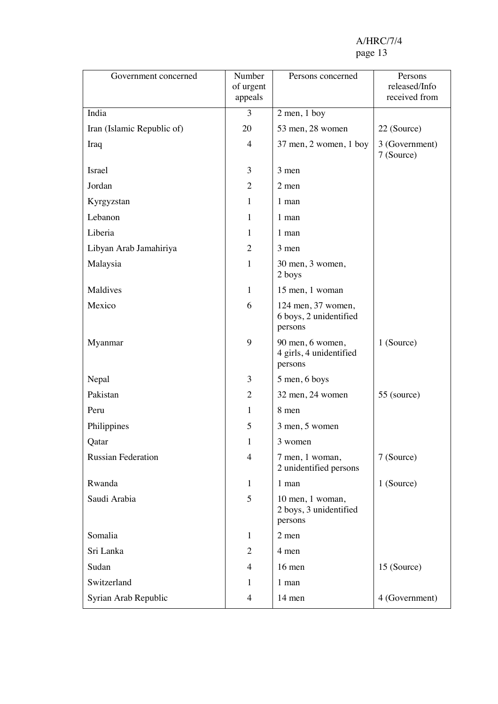| Government concerned       | Number               | Persons concerned                                       | Persons                        |
|----------------------------|----------------------|---------------------------------------------------------|--------------------------------|
|                            | of urgent<br>appeals |                                                         | released/Info<br>received from |
| India                      | 3                    | $2$ men, $1$ boy                                        |                                |
| Iran (Islamic Republic of) | 20                   | 53 men, 28 women                                        | 22 (Source)                    |
| Iraq                       | $\overline{4}$       | 37 men, 2 women, 1 boy                                  | 3 (Government)<br>7 (Source)   |
| <b>Israel</b>              | 3                    | 3 men                                                   |                                |
| Jordan                     | $\overline{2}$       | 2 men                                                   |                                |
| Kyrgyzstan                 | 1                    | 1 man                                                   |                                |
| Lebanon                    | $\mathbf{1}$         | 1 man                                                   |                                |
| Liberia                    | 1                    | 1 man                                                   |                                |
| Libyan Arab Jamahiriya     | $\overline{2}$       | 3 men                                                   |                                |
| Malaysia                   | $\mathbf{1}$         | 30 men, 3 women,<br>2 boys                              |                                |
| Maldives                   | $\mathbf{1}$         | 15 men, 1 woman                                         |                                |
| Mexico                     | 6                    | 124 men, 37 women,<br>6 boys, 2 unidentified<br>persons |                                |
| Myanmar                    | 9                    | 90 men, 6 women,<br>4 girls, 4 unidentified<br>persons  | 1 (Source)                     |
| Nepal                      | 3                    | 5 men, 6 boys                                           |                                |
| Pakistan                   | $\overline{2}$       | 32 men, 24 women                                        | 55 (source)                    |
| Peru                       | 1                    | 8 men                                                   |                                |
| Philippines                | 5                    | 3 men, 5 women                                          |                                |
| Qatar                      | 1                    | 3 women                                                 |                                |
| <b>Russian Federation</b>  | $\overline{4}$       | 7 men, 1 woman,<br>2 unidentified persons               | 7 (Source)                     |
| Rwanda                     | $\mathbf{1}$         | 1 man                                                   | 1 (Source)                     |
| Saudi Arabia               | 5                    | 10 men, 1 woman,<br>2 boys, 3 unidentified<br>persons   |                                |
| Somalia                    | $\mathbf{1}$         | 2 men                                                   |                                |
| Sri Lanka                  | $\overline{2}$       | 4 men                                                   |                                |
| Sudan                      | $\overline{4}$       | 16 men                                                  | 15 (Source)                    |
| Switzerland                | 1                    | 1 man                                                   |                                |
| Syrian Arab Republic       | $\overline{4}$       | 14 men                                                  | 4 (Government)                 |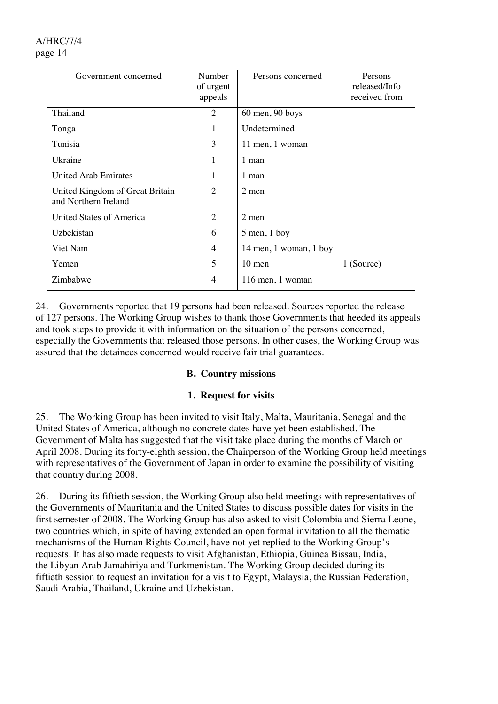24. Governments reported that 19 persons had been released. Sources reported the release of 127 persons. The Working Group wishes to thank those Governments that heeded its appeals and took steps to provide it with information on the situation of the persons concerned, especially the Governments that released those persons. In other cases, the Working Group was assured that the detainees concerned would receive fair trial guarantees.

#### **B. Country missions**

#### **1. Request for visits**

25. The Working Group has been invited to visit Italy, Malta, Mauritania, Senegal and the United States of America, although no concrete dates have yet been established. The Government of Malta has suggested that the visit take place during the months of March or April 2008. During its forty-eighth session, the Chairperson of the Working Group held meetings with representatives of the Government of Japan in order to examine the possibility of visiting that country during 2008.

26. During its fiftieth session, the Working Group also held meetings with representatives of the Governments of Mauritania and the United States to discuss possible dates for visits in the first semester of 2008. The Working Group has also asked to visit Colombia and Sierra Leone, two countries which, in spite of having extended an open formal invitation to all the thematic mechanisms of the Human Rights Council, have not yet replied to the Working Group's requests. It has also made requests to visit Afghanistan, Ethiopia, Guinea Bissau, India, the Libyan Arab Jamahiriya and Turkmenistan. The Working Group decided during its fiftieth session to request an invitation for a visit to Egypt, Malaysia, the Russian Federation, Saudi Arabia, Thailand, Ukraine and Uzbekistan.

## A/HRC/7/4 page 14

| Government concerned                                    | Number<br>of urgent<br>appeals | Persons concerned      | Persons<br>released/Info<br>received from |
|---------------------------------------------------------|--------------------------------|------------------------|-------------------------------------------|
| Thailand                                                | $\overline{2}$                 | $60$ men, $90$ boys    |                                           |
| Tonga                                                   | 1                              | Undetermined           |                                           |
| Tunisia                                                 | 3                              | 11 men, 1 woman        |                                           |
| Ukraine                                                 | 1                              | 1 man                  |                                           |
| <b>United Arab Emirates</b>                             | 1                              | 1 man                  |                                           |
| United Kingdom of Great Britain<br>and Northern Ireland | $\overline{2}$                 | 2 men                  |                                           |
| United States of America                                | $\overline{2}$                 | 2 men                  |                                           |
| Uzbekistan                                              | 6                              | $5$ men, $1$ boy       |                                           |
| Viet Nam                                                | 4                              | 14 men, 1 woman, 1 boy |                                           |
| Yemen                                                   | 5                              | $10$ men               | 1 (Source)                                |
| Zimbabwe                                                | 4                              | 116 men, 1 woman       |                                           |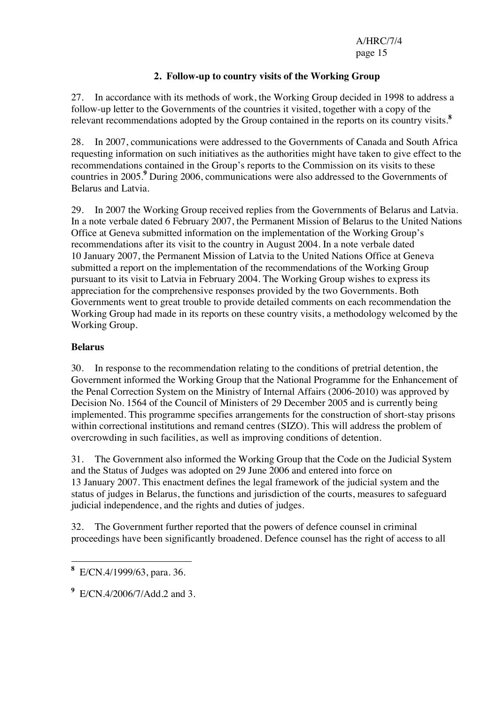### **2. Follow-up to country visits of the Working Group**

27. In accordance with its methods of work, the Working Group decided in 1998 to address a follow-up letter to the Governments of the countries it visited, together with a copy of the relevant recommendations adopted by the Group contained in the reports on its country visits.**<sup>8</sup>**

28. In 2007, communications were addressed to the Governments of Canada and South Africa requesting information on such initiatives as the authorities might have taken to give effect to the recommendations contained in the Group's reports to the Commission on its visits to these countries in 2005.**<sup>9</sup>** During 2006, communications were also addressed to the Governments of Belarus and Latvia.

29. In 2007 the Working Group received replies from the Governments of Belarus and Latvia. In a note verbale dated 6 February 2007, the Permanent Mission of Belarus to the United Nations Office at Geneva submitted information on the implementation of the Working Group's recommendations after its visit to the country in August 2004. In a note verbale dated 10 January 2007, the Permanent Mission of Latvia to the United Nations Office at Geneva submitted a report on the implementation of the recommendations of the Working Group pursuant to its visit to Latvia in February 2004. The Working Group wishes to express its appreciation for the comprehensive responses provided by the two Governments. Both Governments went to great trouble to provide detailed comments on each recommendation the Working Group had made in its reports on these country visits, a methodology welcomed by the Working Group.

#### **Belarus**

30. In response to the recommendation relating to the conditions of pretrial detention, the Government informed the Working Group that the National Programme for the Enhancement of the Penal Correction System on the Ministry of Internal Affairs (2006-2010) was approved by Decision No. 1564 of the Council of Ministers of 29 December 2005 and is currently being implemented. This programme specifies arrangements for the construction of short-stay prisons within correctional institutions and remand centres (SIZO). This will address the problem of overcrowding in such facilities, as well as improving conditions of detention.

31. The Government also informed the Working Group that the Code on the Judicial System and the Status of Judges was adopted on 29 June 2006 and entered into force on 13 January 2007. This enactment defines the legal framework of the judicial system and the status of judges in Belarus, the functions and jurisdiction of the courts, measures to safeguard judicial independence, and the rights and duties of judges.

32. The Government further reported that the powers of defence counsel in criminal proceedings have been significantly broadened. Defence counsel has the right of access to all

 $\overline{a}$ **8** E/CN.4/1999/63, para. 36.

**<sup>9</sup>** E/CN.4/2006/7/Add.2 and 3.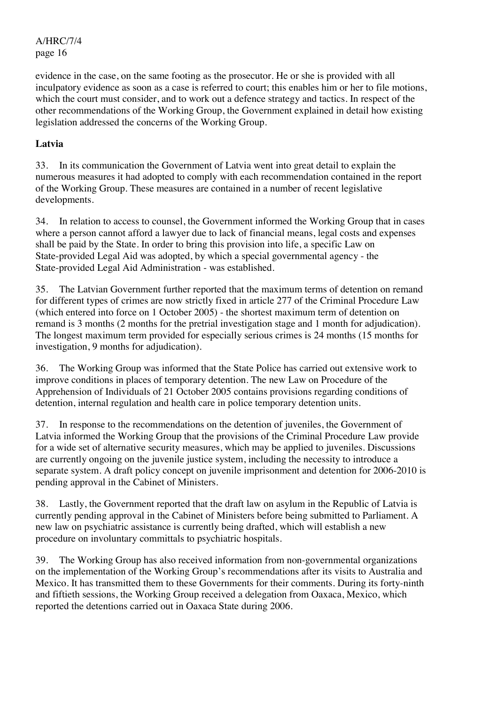evidence in the case, on the same footing as the prosecutor. He or she is provided with all inculpatory evidence as soon as a case is referred to court; this enables him or her to file motions, which the court must consider, and to work out a defence strategy and tactics. In respect of the other recommendations of the Working Group, the Government explained in detail how existing legislation addressed the concerns of the Working Group.

#### **Latvia**

33. In its communication the Government of Latvia went into great detail to explain the numerous measures it had adopted to comply with each recommendation contained in the report of the Working Group. These measures are contained in a number of recent legislative developments.

34. In relation to access to counsel, the Government informed the Working Group that in cases where a person cannot afford a lawyer due to lack of financial means, legal costs and expenses shall be paid by the State. In order to bring this provision into life, a specific Law on State-provided Legal Aid was adopted, by which a special governmental agency - the State-provided Legal Aid Administration - was established.

35. The Latvian Government further reported that the maximum terms of detention on remand for different types of crimes are now strictly fixed in article 277 of the Criminal Procedure Law (which entered into force on 1 October 2005) - the shortest maximum term of detention on remand is 3 months (2 months for the pretrial investigation stage and 1 month for adjudication). The longest maximum term provided for especially serious crimes is 24 months (15 months for investigation, 9 months for adjudication).

36. The Working Group was informed that the State Police has carried out extensive work to improve conditions in places of temporary detention. The new Law on Procedure of the Apprehension of Individuals of 21 October 2005 contains provisions regarding conditions of detention, internal regulation and health care in police temporary detention units.

37. In response to the recommendations on the detention of juveniles, the Government of Latvia informed the Working Group that the provisions of the Criminal Procedure Law provide for a wide set of alternative security measures, which may be applied to juveniles. Discussions are currently ongoing on the juvenile justice system, including the necessity to introduce a separate system. A draft policy concept on juvenile imprisonment and detention for 2006-2010 is pending approval in the Cabinet of Ministers.

38. Lastly, the Government reported that the draft law on asylum in the Republic of Latvia is currently pending approval in the Cabinet of Ministers before being submitted to Parliament. A new law on psychiatric assistance is currently being drafted, which will establish a new procedure on involuntary committals to psychiatric hospitals.

39. The Working Group has also received information from non-governmental organizations on the implementation of the Working Group's recommendations after its visits to Australia and Mexico. It has transmitted them to these Governments for their comments. During its forty-ninth and fiftieth sessions, the Working Group received a delegation from Oaxaca, Mexico, which reported the detentions carried out in Oaxaca State during 2006.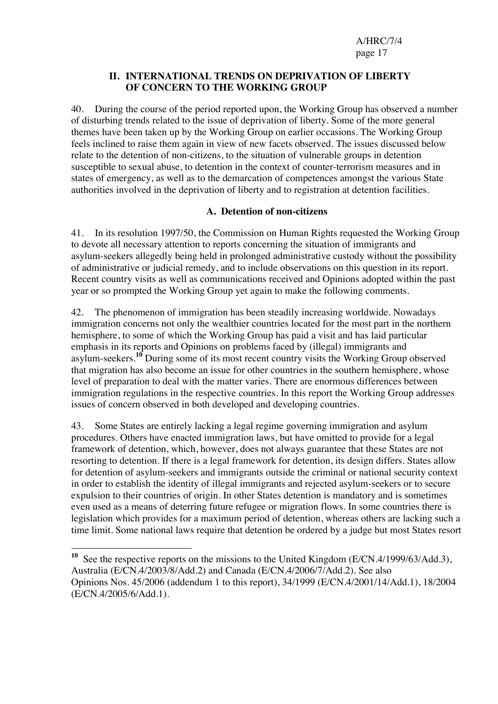#### **II. INTERNATIONAL TRENDS ON DEPRIVATION OF LIBERTY OF CONCERN TO THE WORKING GROUP**

40. During the course of the period reported upon, the Working Group has observed a number of disturbing trends related to the issue of deprivation of liberty. Some of the more general themes have been taken up by the Working Group on earlier occasions. The Working Group feels inclined to raise them again in view of new facets observed. The issues discussed below relate to the detention of non-citizens, to the situation of vulnerable groups in detention susceptible to sexual abuse, to detention in the context of counter-terrorism measures and in states of emergency, as well as to the demarcation of competences amongst the various State authorities involved in the deprivation of liberty and to registration at detention facilities.

#### **A. Detention of non-citizens**

41. In its resolution 1997/50, the Commission on Human Rights requested the Working Group to devote all necessary attention to reports concerning the situation of immigrants and asylum-seekers allegedly being held in prolonged administrative custody without the possibility of administrative or judicial remedy, and to include observations on this question in its report. Recent country visits as well as communications received and Opinions adopted within the past year or so prompted the Working Group yet again to make the following comments.

42. The phenomenon of immigration has been steadily increasing worldwide. Nowadays immigration concerns not only the wealthier countries located for the most part in the northern hemisphere, to some of which the Working Group has paid a visit and has laid particular emphasis in its reports and Opinions on problems faced by (illegal) immigrants and asylum-seekers.**<sup>10</sup>** During some of its most recent country visits the Working Group observed that migration has also become an issue for other countries in the southern hemisphere, whose level of preparation to deal with the matter varies. There are enormous differences between immigration regulations in the respective countries. In this report the Working Group addresses issues of concern observed in both developed and developing countries.

43. Some States are entirely lacking a legal regime governing immigration and asylum procedures. Others have enacted immigration laws, but have omitted to provide for a legal framework of detention, which, however, does not always guarantee that these States are not resorting to detention. If there is a legal framework for detention, its design differs. States allow for detention of asylum-seekers and immigrants outside the criminal or national security context in order to establish the identity of illegal immigrants and rejected asylum-seekers or to secure expulsion to their countries of origin. In other States detention is mandatory and is sometimes even used as a means of deterring future refugee or migration flows. In some countries there is legislation which provides for a maximum period of detention, whereas others are lacking such a time limit. Some national laws require that detention be ordered by a judge but most States resort

 $\overline{a}$ <sup>10</sup> See the respective reports on the missions to the United Kingdom (E/CN.4/1999/63/Add.3), Australia (E/CN.4/2003/8/Add.2) and Canada (E/CN.4/2006/7/Add.2). See also Opinions Nos. 45/2006 (addendum 1 to this report), 34/1999 (E/CN.4/2001/14/Add.1), 18/2004 (E/CN.4/2005/6/Add.1).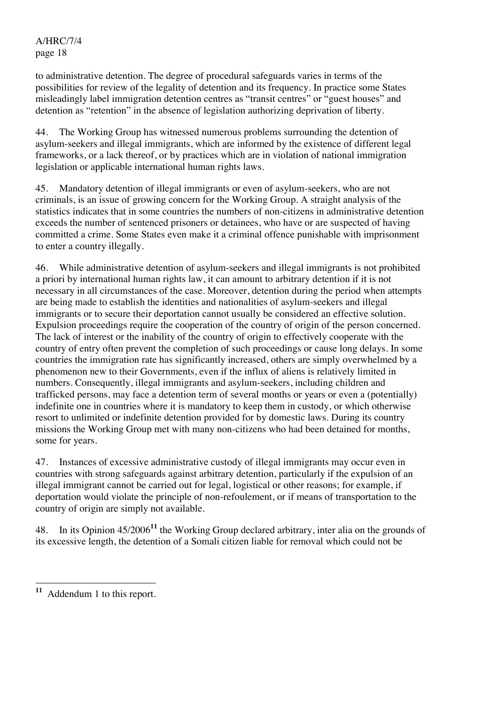to administrative detention. The degree of procedural safeguards varies in terms of the possibilities for review of the legality of detention and its frequency. In practice some States misleadingly label immigration detention centres as "transit centres" or "guest houses" and detention as "retention" in the absence of legislation authorizing deprivation of liberty.

44. The Working Group has witnessed numerous problems surrounding the detention of asylum-seekers and illegal immigrants, which are informed by the existence of different legal frameworks, or a lack thereof, or by practices which are in violation of national immigration legislation or applicable international human rights laws.

45. Mandatory detention of illegal immigrants or even of asylum-seekers, who are not criminals, is an issue of growing concern for the Working Group. A straight analysis of the statistics indicates that in some countries the numbers of non-citizens in administrative detention exceeds the number of sentenced prisoners or detainees, who have or are suspected of having committed a crime. Some States even make it a criminal offence punishable with imprisonment to enter a country illegally.

46. While administrative detention of asylum-seekers and illegal immigrants is not prohibited a priori by international human rights law, it can amount to arbitrary detention if it is not necessary in all circumstances of the case. Moreover, detention during the period when attempts are being made to establish the identities and nationalities of asylum-seekers and illegal immigrants or to secure their deportation cannot usually be considered an effective solution. Expulsion proceedings require the cooperation of the country of origin of the person concerned. The lack of interest or the inability of the country of origin to effectively cooperate with the country of entry often prevent the completion of such proceedings or cause long delays. In some countries the immigration rate has significantly increased, others are simply overwhelmed by a phenomenon new to their Governments, even if the influx of aliens is relatively limited in numbers. Consequently, illegal immigrants and asylum-seekers, including children and trafficked persons, may face a detention term of several months or years or even a (potentially) indefinite one in countries where it is mandatory to keep them in custody, or which otherwise resort to unlimited or indefinite detention provided for by domestic laws. During its country missions the Working Group met with many non-citizens who had been detained for months, some for years.

47. Instances of excessive administrative custody of illegal immigrants may occur even in countries with strong safeguards against arbitrary detention, particularly if the expulsion of an illegal immigrant cannot be carried out for legal, logistical or other reasons; for example, if deportation would violate the principle of non-refoulement, or if means of transportation to the country of origin are simply not available.

48. In its Opinion 45/2006**<sup>11</sup>** the Working Group declared arbitrary, inter alia on the grounds of its excessive length, the detention of a Somali citizen liable for removal which could not be

<sup>11</sup> Addendum 1 to this report.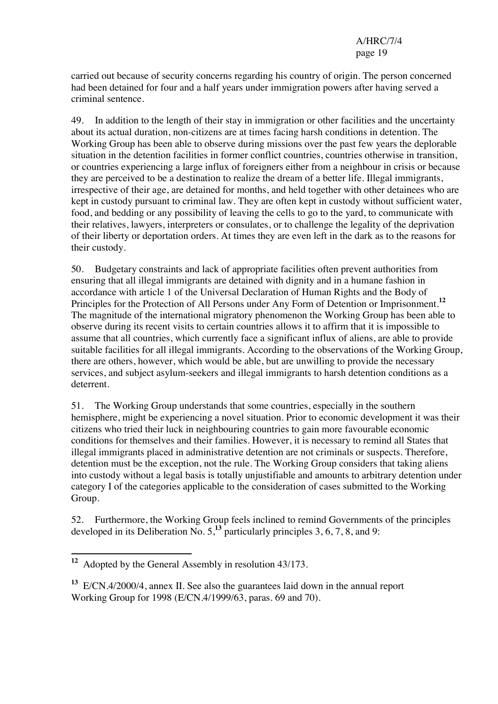carried out because of security concerns regarding his country of origin. The person concerned had been detained for four and a half years under immigration powers after having served a criminal sentence.

49. In addition to the length of their stay in immigration or other facilities and the uncertainty about its actual duration, non-citizens are at times facing harsh conditions in detention. The Working Group has been able to observe during missions over the past few years the deplorable situation in the detention facilities in former conflict countries, countries otherwise in transition, or countries experiencing a large influx of foreigners either from a neighbour in crisis or because they are perceived to be a destination to realize the dream of a better life. Illegal immigrants, irrespective of their age, are detained for months, and held together with other detainees who are kept in custody pursuant to criminal law. They are often kept in custody without sufficient water, food, and bedding or any possibility of leaving the cells to go to the yard, to communicate with their relatives, lawyers, interpreters or consulates, or to challenge the legality of the deprivation of their liberty or deportation orders. At times they are even left in the dark as to the reasons for their custody.

50. Budgetary constraints and lack of appropriate facilities often prevent authorities from ensuring that all illegal immigrants are detained with dignity and in a humane fashion in accordance with article 1 of the Universal Declaration of Human Rights and the Body of Principles for the Protection of All Persons under Any Form of Detention or Imprisonment.**<sup>12</sup>** The magnitude of the international migratory phenomenon the Working Group has been able to observe during its recent visits to certain countries allows it to affirm that it is impossible to assume that all countries, which currently face a significant influx of aliens, are able to provide suitable facilities for all illegal immigrants. According to the observations of the Working Group, there are others, however, which would be able, but are unwilling to provide the necessary services, and subject asylum-seekers and illegal immigrants to harsh detention conditions as a deterrent.

51. The Working Group understands that some countries, especially in the southern hemisphere, might be experiencing a novel situation. Prior to economic development it was their citizens who tried their luck in neighbouring countries to gain more favourable economic conditions for themselves and their families. However, it is necessary to remind all States that illegal immigrants placed in administrative detention are not criminals or suspects. Therefore, detention must be the exception, not the rule. The Working Group considers that taking aliens into custody without a legal basis is totally unjustifiable and amounts to arbitrary detention under category I of the categories applicable to the consideration of cases submitted to the Working Group.

52. Furthermore, the Working Group feels inclined to remind Governments of the principles developed in its Deliberation No. 5,**<sup>13</sup>** particularly principles 3, 6, 7, 8, and 9:

 $\overline{a}$ **<sup>12</sup>** Adopted by the General Assembly in resolution 43/173.

**<sup>13</sup>** E/CN.4/2000/4, annex II. See also the guarantees laid down in the annual report Working Group for 1998 (E/CN.4/1999/63, paras. 69 and 70).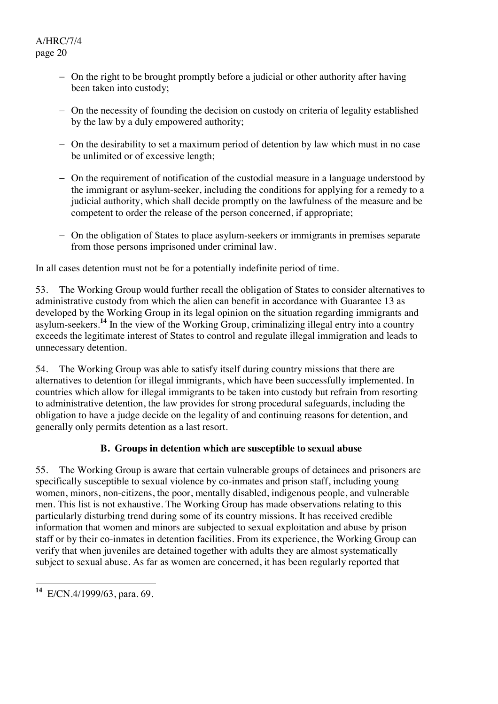- − On the right to be brought promptly before a judicial or other authority after having been taken into custody;
- − On the necessity of founding the decision on custody on criteria of legality established by the law by a duly empowered authority;
- − On the desirability to set a maximum period of detention by law which must in no case be unlimited or of excessive length;
- − On the requirement of notification of the custodial measure in a language understood by the immigrant or asylum-seeker, including the conditions for applying for a remedy to a judicial authority, which shall decide promptly on the lawfulness of the measure and be competent to order the release of the person concerned, if appropriate;
- − On the obligation of States to place asylum-seekers or immigrants in premises separate from those persons imprisoned under criminal law.

In all cases detention must not be for a potentially indefinite period of time.

53. The Working Group would further recall the obligation of States to consider alternatives to administrative custody from which the alien can benefit in accordance with Guarantee 13 as developed by the Working Group in its legal opinion on the situation regarding immigrants and asylum-seekers.**<sup>14</sup>** In the view of the Working Group, criminalizing illegal entry into a country exceeds the legitimate interest of States to control and regulate illegal immigration and leads to unnecessary detention.

54. The Working Group was able to satisfy itself during country missions that there are alternatives to detention for illegal immigrants, which have been successfully implemented. In countries which allow for illegal immigrants to be taken into custody but refrain from resorting to administrative detention, the law provides for strong procedural safeguards, including the obligation to have a judge decide on the legality of and continuing reasons for detention, and generally only permits detention as a last resort.

## **B. Groups in detention which are susceptible to sexual abuse**

55. The Working Group is aware that certain vulnerable groups of detainees and prisoners are specifically susceptible to sexual violence by co-inmates and prison staff, including young women, minors, non-citizens, the poor, mentally disabled, indigenous people, and vulnerable men. This list is not exhaustive. The Working Group has made observations relating to this particularly disturbing trend during some of its country missions. It has received credible information that women and minors are subjected to sexual exploitation and abuse by prison staff or by their co-inmates in detention facilities. From its experience, the Working Group can verify that when juveniles are detained together with adults they are almost systematically subject to sexual abuse. As far as women are concerned, it has been regularly reported that

 $\overline{a}$ **<sup>14</sup>** E/CN.4/1999/63, para. 69.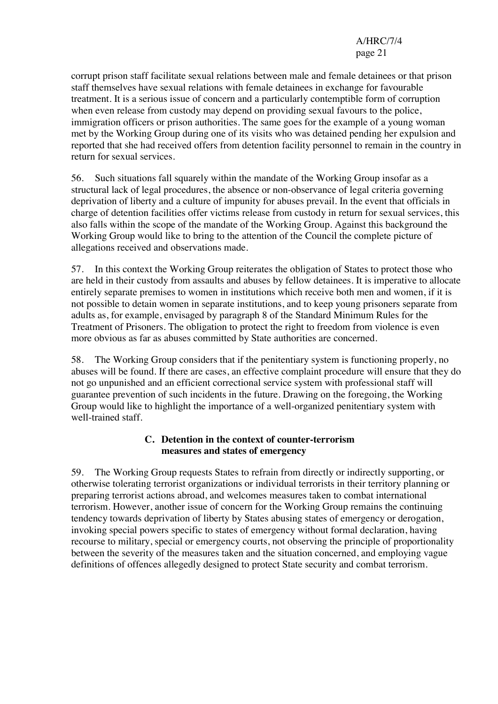corrupt prison staff facilitate sexual relations between male and female detainees or that prison staff themselves have sexual relations with female detainees in exchange for favourable treatment. It is a serious issue of concern and a particularly contemptible form of corruption when even release from custody may depend on providing sexual favours to the police, immigration officers or prison authorities. The same goes for the example of a young woman met by the Working Group during one of its visits who was detained pending her expulsion and reported that she had received offers from detention facility personnel to remain in the country in return for sexual services.

56. Such situations fall squarely within the mandate of the Working Group insofar as a structural lack of legal procedures, the absence or non-observance of legal criteria governing deprivation of liberty and a culture of impunity for abuses prevail. In the event that officials in charge of detention facilities offer victims release from custody in return for sexual services, this also falls within the scope of the mandate of the Working Group. Against this background the Working Group would like to bring to the attention of the Council the complete picture of allegations received and observations made.

57. In this context the Working Group reiterates the obligation of States to protect those who are held in their custody from assaults and abuses by fellow detainees. It is imperative to allocate entirely separate premises to women in institutions which receive both men and women, if it is not possible to detain women in separate institutions, and to keep young prisoners separate from adults as, for example, envisaged by paragraph 8 of the Standard Minimum Rules for the Treatment of Prisoners. The obligation to protect the right to freedom from violence is even more obvious as far as abuses committed by State authorities are concerned.

58. The Working Group considers that if the penitentiary system is functioning properly, no abuses will be found. If there are cases, an effective complaint procedure will ensure that they do not go unpunished and an efficient correctional service system with professional staff will guarantee prevention of such incidents in the future. Drawing on the foregoing, the Working Group would like to highlight the importance of a well-organized penitentiary system with well-trained staff.

#### **C. Detention in the context of counter-terrorism measures and states of emergency**

59. The Working Group requests States to refrain from directly or indirectly supporting, or otherwise tolerating terrorist organizations or individual terrorists in their territory planning or preparing terrorist actions abroad, and welcomes measures taken to combat international terrorism. However, another issue of concern for the Working Group remains the continuing tendency towards deprivation of liberty by States abusing states of emergency or derogation, invoking special powers specific to states of emergency without formal declaration, having recourse to military, special or emergency courts, not observing the principle of proportionality between the severity of the measures taken and the situation concerned, and employing vague definitions of offences allegedly designed to protect State security and combat terrorism.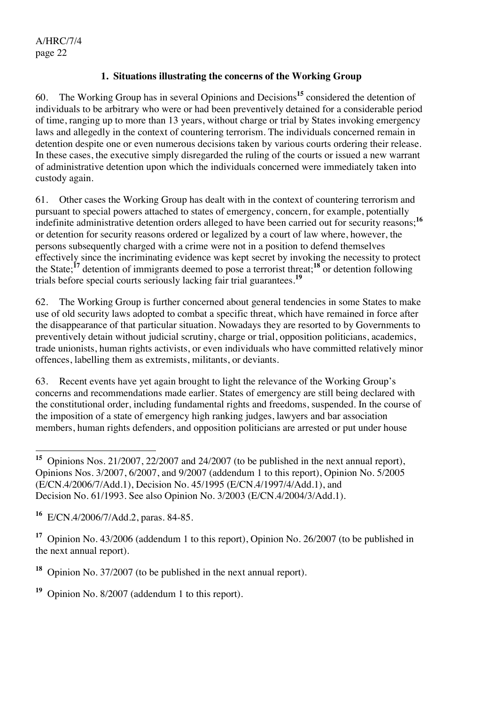#### **1. Situations illustrating the concerns of the Working Group**

60. The Working Group has in several Opinions and Decisions**<sup>15</sup>** considered the detention of individuals to be arbitrary who were or had been preventively detained for a considerable period of time, ranging up to more than 13 years, without charge or trial by States invoking emergency laws and allegedly in the context of countering terrorism. The individuals concerned remain in detention despite one or even numerous decisions taken by various courts ordering their release. In these cases, the executive simply disregarded the ruling of the courts or issued a new warrant of administrative detention upon which the individuals concerned were immediately taken into custody again.

61. Other cases the Working Group has dealt with in the context of countering terrorism and pursuant to special powers attached to states of emergency, concern, for example, potentially indefinite administrative detention orders alleged to have been carried out for security reasons;<sup>16</sup> or detention for security reasons ordered or legalized by a court of law where, however, the persons subsequently charged with a crime were not in a position to defend themselves effectively since the incriminating evidence was kept secret by invoking the necessity to protect the State;**<sup>17</sup>** detention of immigrants deemed to pose a terrorist threat;**<sup>18</sup>** or detention following trials before special courts seriously lacking fair trial guarantees.**<sup>19</sup>**

62. The Working Group is further concerned about general tendencies in some States to make use of old security laws adopted to combat a specific threat, which have remained in force after the disappearance of that particular situation. Nowadays they are resorted to by Governments to preventively detain without judicial scrutiny, charge or trial, opposition politicians, academics, trade unionists, human rights activists, or even individuals who have committed relatively minor offences, labelling them as extremists, militants, or deviants.

63. Recent events have yet again brought to light the relevance of the Working Group's concerns and recommendations made earlier. States of emergency are still being declared with the constitutional order, including fundamental rights and freedoms, suspended. In the course of the imposition of a state of emergency high ranking judges, lawyers and bar association members, human rights defenders, and opposition politicians are arrested or put under house

**<sup>19</sup>** Opinion No. 8/2007 (addendum 1 to this report).

 $\overline{\phantom{a}}$ **<sup>15</sup>** Opinions Nos. 21/2007, 22/2007 and 24/2007 (to be published in the next annual report), Opinions Nos. 3/2007, 6/2007, and 9/2007 (addendum 1 to this report), Opinion No. 5/2005 (E/CN.4/2006/7/Add.1), Decision No. 45/1995 (E/CN.4/1997/4/Add.1), and Decision No. 61/1993. See also Opinion No. 3/2003 (E/CN.4/2004/3/Add.1).

**<sup>16</sup>** E/CN.4/2006/7/Add.2, paras. 84-85.

**<sup>17</sup>** Opinion No. 43/2006 (addendum 1 to this report), Opinion No. 26/2007 (to be published in the next annual report).

**<sup>18</sup>** Opinion No. 37/2007 (to be published in the next annual report).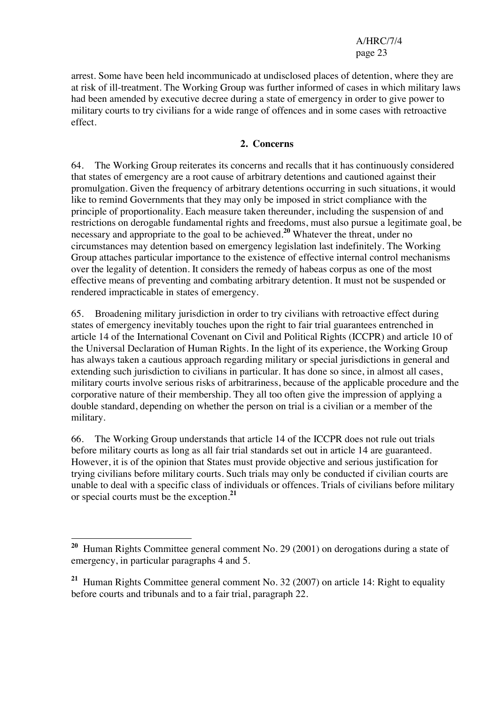arrest. Some have been held incommunicado at undisclosed places of detention, where they are at risk of ill-treatment. The Working Group was further informed of cases in which military laws had been amended by executive decree during a state of emergency in order to give power to military courts to try civilians for a wide range of offences and in some cases with retroactive effect.

#### **2. Concerns**

64. The Working Group reiterates its concerns and recalls that it has continuously considered that states of emergency are a root cause of arbitrary detentions and cautioned against their promulgation. Given the frequency of arbitrary detentions occurring in such situations, it would like to remind Governments that they may only be imposed in strict compliance with the principle of proportionality. Each measure taken thereunder, including the suspension of and restrictions on derogable fundamental rights and freedoms, must also pursue a legitimate goal, be necessary and appropriate to the goal to be achieved.**<sup>20</sup>** Whatever the threat, under no circumstances may detention based on emergency legislation last indefinitely. The Working Group attaches particular importance to the existence of effective internal control mechanisms over the legality of detention. It considers the remedy of habeas corpus as one of the most effective means of preventing and combating arbitrary detention. It must not be suspended or rendered impracticable in states of emergency.

65. Broadening military jurisdiction in order to try civilians with retroactive effect during states of emergency inevitably touches upon the right to fair trial guarantees entrenched in article 14 of the International Covenant on Civil and Political Rights (ICCPR) and article 10 of the Universal Declaration of Human Rights. In the light of its experience, the Working Group has always taken a cautious approach regarding military or special jurisdictions in general and extending such jurisdiction to civilians in particular. It has done so since, in almost all cases, military courts involve serious risks of arbitrariness, because of the applicable procedure and the corporative nature of their membership. They all too often give the impression of applying a double standard, depending on whether the person on trial is a civilian or a member of the military.

66. The Working Group understands that article 14 of the ICCPR does not rule out trials before military courts as long as all fair trial standards set out in article 14 are guaranteed. However, it is of the opinion that States must provide objective and serious justification for trying civilians before military courts. Such trials may only be conducted if civilian courts are unable to deal with a specific class of individuals or offences. Trials of civilians before military or special courts must be the exception.**<sup>21</sup>**

 $\overline{a}$ **<sup>20</sup>** Human Rights Committee general comment No. 29 (2001) on derogations during a state of emergency, in particular paragraphs 4 and 5.

**<sup>21</sup>** Human Rights Committee general comment No. 32 (2007) on article 14: Right to equality before courts and tribunals and to a fair trial, paragraph 22.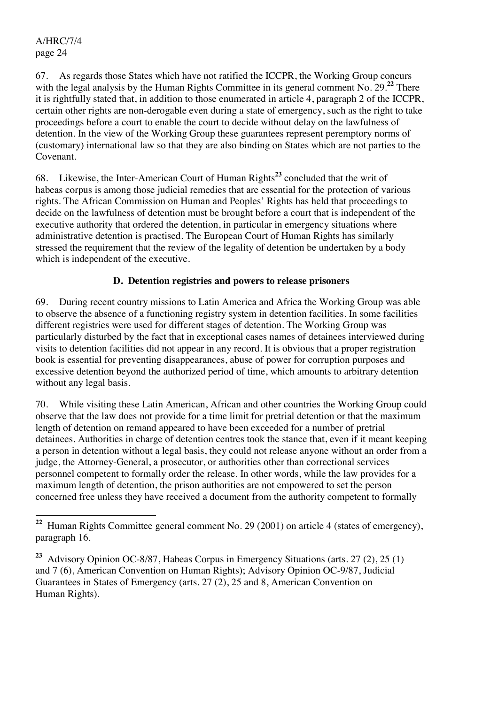$\overline{a}$ 

67. As regards those States which have not ratified the ICCPR, the Working Group concurs with the legal analysis by the Human Rights Committee in its general comment No. 29<sup>22</sup> There it is rightfully stated that, in addition to those enumerated in article 4, paragraph 2 of the ICCPR, certain other rights are non-derogable even during a state of emergency, such as the right to take proceedings before a court to enable the court to decide without delay on the lawfulness of detention. In the view of the Working Group these guarantees represent peremptory norms of (customary) international law so that they are also binding on States which are not parties to the Covenant.

68. Likewise, the Inter-American Court of Human Rights**<sup>23</sup>** concluded that the writ of habeas corpus is among those judicial remedies that are essential for the protection of various rights. The African Commission on Human and Peoples' Rights has held that proceedings to decide on the lawfulness of detention must be brought before a court that is independent of the executive authority that ordered the detention, in particular in emergency situations where administrative detention is practised. The European Court of Human Rights has similarly stressed the requirement that the review of the legality of detention be undertaken by a body which is independent of the executive.

#### **D. Detention registries and powers to release prisoners**

69. During recent country missions to Latin America and Africa the Working Group was able to observe the absence of a functioning registry system in detention facilities. In some facilities different registries were used for different stages of detention. The Working Group was particularly disturbed by the fact that in exceptional cases names of detainees interviewed during visits to detention facilities did not appear in any record. It is obvious that a proper registration book is essential for preventing disappearances, abuse of power for corruption purposes and excessive detention beyond the authorized period of time, which amounts to arbitrary detention without any legal basis.

70. While visiting these Latin American, African and other countries the Working Group could observe that the law does not provide for a time limit for pretrial detention or that the maximum length of detention on remand appeared to have been exceeded for a number of pretrial detainees. Authorities in charge of detention centres took the stance that, even if it meant keeping a person in detention without a legal basis, they could not release anyone without an order from a judge, the Attorney-General, a prosecutor, or authorities other than correctional services personnel competent to formally order the release. In other words, while the law provides for a maximum length of detention, the prison authorities are not empowered to set the person concerned free unless they have received a document from the authority competent to formally

**<sup>22</sup>** Human Rights Committee general comment No. 29 (2001) on article 4 (states of emergency), paragraph 16.

**<sup>23</sup>** Advisory Opinion OC-8/87, Habeas Corpus in Emergency Situations (arts. 27 (2), 25 (1) and 7 (6), American Convention on Human Rights); Advisory Opinion OC-9/87, Judicial Guarantees in States of Emergency (arts. 27 (2), 25 and 8, American Convention on Human Rights).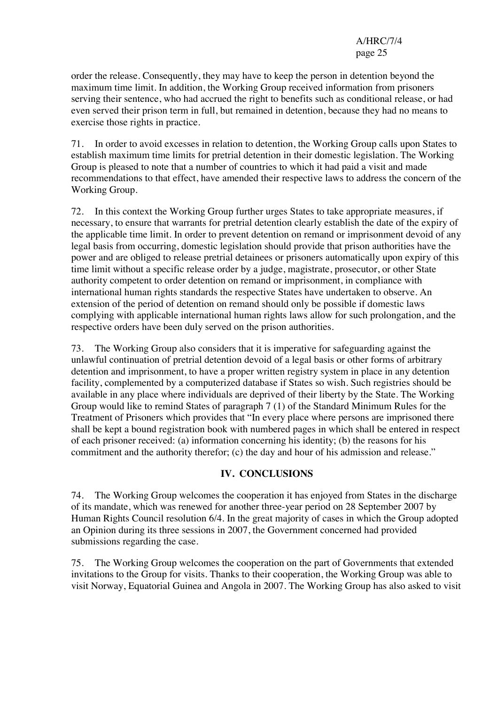order the release. Consequently, they may have to keep the person in detention beyond the maximum time limit. In addition, the Working Group received information from prisoners serving their sentence, who had accrued the right to benefits such as conditional release, or had even served their prison term in full, but remained in detention, because they had no means to exercise those rights in practice.

71. In order to avoid excesses in relation to detention, the Working Group calls upon States to establish maximum time limits for pretrial detention in their domestic legislation. The Working Group is pleased to note that a number of countries to which it had paid a visit and made recommendations to that effect, have amended their respective laws to address the concern of the Working Group.

72. In this context the Working Group further urges States to take appropriate measures, if necessary, to ensure that warrants for pretrial detention clearly establish the date of the expiry of the applicable time limit. In order to prevent detention on remand or imprisonment devoid of any legal basis from occurring, domestic legislation should provide that prison authorities have the power and are obliged to release pretrial detainees or prisoners automatically upon expiry of this time limit without a specific release order by a judge, magistrate, prosecutor, or other State authority competent to order detention on remand or imprisonment, in compliance with international human rights standards the respective States have undertaken to observe. An extension of the period of detention on remand should only be possible if domestic laws complying with applicable international human rights laws allow for such prolongation, and the respective orders have been duly served on the prison authorities.

73. The Working Group also considers that it is imperative for safeguarding against the unlawful continuation of pretrial detention devoid of a legal basis or other forms of arbitrary detention and imprisonment, to have a proper written registry system in place in any detention facility, complemented by a computerized database if States so wish. Such registries should be available in any place where individuals are deprived of their liberty by the State. The Working Group would like to remind States of paragraph 7 (1) of the Standard Minimum Rules for the Treatment of Prisoners which provides that "In every place where persons are imprisoned there shall be kept a bound registration book with numbered pages in which shall be entered in respect of each prisoner received: (a) information concerning his identity; (b) the reasons for his commitment and the authority therefor; (c) the day and hour of his admission and release."

#### **IV. CONCLUSIONS**

74. The Working Group welcomes the cooperation it has enjoyed from States in the discharge of its mandate, which was renewed for another three-year period on 28 September 2007 by Human Rights Council resolution 6/4. In the great majority of cases in which the Group adopted an Opinion during its three sessions in 2007, the Government concerned had provided submissions regarding the case.

75. The Working Group welcomes the cooperation on the part of Governments that extended invitations to the Group for visits. Thanks to their cooperation, the Working Group was able to visit Norway, Equatorial Guinea and Angola in 2007. The Working Group has also asked to visit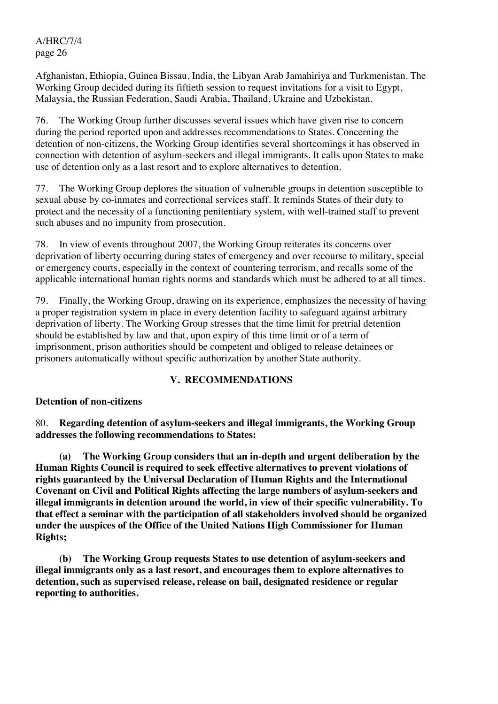Afghanistan, Ethiopia, Guinea Bissau, India, the Libyan Arab Jamahiriya and Turkmenistan. The Working Group decided during its fiftieth session to request invitations for a visit to Egypt, Malaysia, the Russian Federation, Saudi Arabia, Thailand, Ukraine and Uzbekistan.

76. The Working Group further discusses several issues which have given rise to concern during the period reported upon and addresses recommendations to States. Concerning the detention of non-citizens, the Working Group identifies several shortcomings it has observed in connection with detention of asylum-seekers and illegal immigrants. It calls upon States to make use of detention only as a last resort and to explore alternatives to detention.

77. The Working Group deplores the situation of vulnerable groups in detention susceptible to sexual abuse by co-inmates and correctional services staff. It reminds States of their duty to protect and the necessity of a functioning penitentiary system, with well-trained staff to prevent such abuses and no impunity from prosecution.

78. In view of events throughout 2007, the Working Group reiterates its concerns over deprivation of liberty occurring during states of emergency and over recourse to military, special or emergency courts, especially in the context of countering terrorism, and recalls some of the applicable international human rights norms and standards which must be adhered to at all times.

79. Finally, the Working Group, drawing on its experience, emphasizes the necessity of having a proper registration system in place in every detention facility to safeguard against arbitrary deprivation of liberty. The Working Group stresses that the time limit for pretrial detention should be established by law and that, upon expiry of this time limit or of a term of imprisonment, prison authorities should be competent and obliged to release detainees or prisoners automatically without specific authorization by another State authority.

## **V. RECOMMENDATIONS**

#### **Detention of non-citizens**

80. **Regarding detention of asylum-seekers and illegal immigrants, the Working Group addresses the following recommendations to States:** 

 **(a) The Working Group considers that an in-depth and urgent deliberation by the Human Rights Council is required to seek effective alternatives to prevent violations of rights guaranteed by the Universal Declaration of Human Rights and the International Covenant on Civil and Political Rights affecting the large numbers of asylum-seekers and illegal immigrants in detention around the world, in view of their specific vulnerability. To that effect a seminar with the participation of all stakeholders involved should be organized under the auspices of the Office of the United Nations High Commissioner for Human Rights;** 

 **(b) The Working Group requests States to use detention of asylum-seekers and illegal immigrants only as a last resort, and encourages them to explore alternatives to detention, such as supervised release, release on bail, designated residence or regular reporting to authorities.**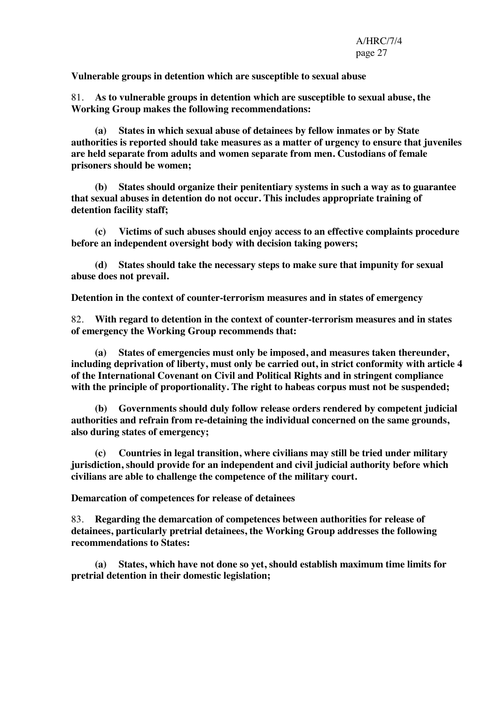**Vulnerable groups in detention which are susceptible to sexual abuse** 

81. **As to vulnerable groups in detention which are susceptible to sexual abuse, the Working Group makes the following recommendations:** 

 **(a) States in which sexual abuse of detainees by fellow inmates or by State authorities is reported should take measures as a matter of urgency to ensure that juveniles are held separate from adults and women separate from men. Custodians of female prisoners should be women;** 

 **(b) States should organize their penitentiary systems in such a way as to guarantee that sexual abuses in detention do not occur. This includes appropriate training of detention facility staff;** 

 **(c) Victims of such abuses should enjoy access to an effective complaints procedure before an independent oversight body with decision taking powers;** 

 **(d) States should take the necessary steps to make sure that impunity for sexual abuse does not prevail.** 

**Detention in the context of counter-terrorism measures and in states of emergency** 

82. **With regard to detention in the context of counter-terrorism measures and in states of emergency the Working Group recommends that:** 

 **(a) States of emergencies must only be imposed, and measures taken thereunder, including deprivation of liberty, must only be carried out, in strict conformity with article 4 of the International Covenant on Civil and Political Rights and in stringent compliance with the principle of proportionality. The right to habeas corpus must not be suspended;** 

 **(b) Governments should duly follow release orders rendered by competent judicial authorities and refrain from re-detaining the individual concerned on the same grounds, also during states of emergency;** 

 **(c) Countries in legal transition, where civilians may still be tried under military jurisdiction, should provide for an independent and civil judicial authority before which civilians are able to challenge the competence of the military court.** 

**Demarcation of competences for release of detainees** 

83. **Regarding the demarcation of competences between authorities for release of detainees, particularly pretrial detainees, the Working Group addresses the following recommendations to States:** 

 **(a) States, which have not done so yet, should establish maximum time limits for pretrial detention in their domestic legislation;**